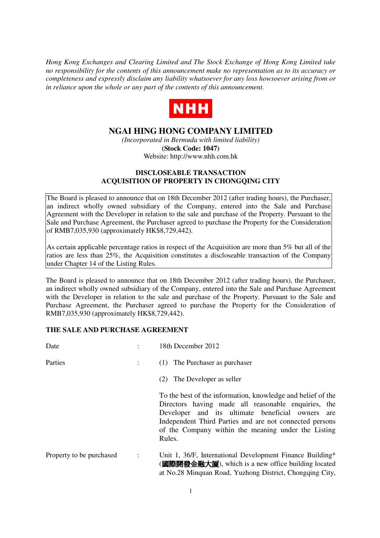*Hong Kong Exchanges and Clearing Limited and The Stock Exchange of Hong Kong Limited take no responsibility for the contents of this announcement make no representation as to its accuracy or completeness and expressly disclaim any liability whatsoever for any loss howsoever arising from or in reliance upon the whole or any part of the contents of this announcement.* 



## **NGAI HING HONG COMPANY LIMITED**

*(Incorporated in Bermuda with limited liability)* **(Stock Code: 1047)**  Website: http://www.nhh.com.hk

## **DISCLOSEABLE TRANSACTION ACQUISITION OF PROPERTY IN CHONGQING CITY**

The Board is pleased to announce that on 18th December 2012 (after trading hours), the Purchaser, an indirect wholly owned subsidiary of the Company, entered into the Sale and Purchase Agreement with the Developer in relation to the sale and purchase of the Property. Pursuant to the Sale and Purchase Agreement, the Purchaser agreed to purchase the Property for the Consideration of RMB7,035,930 (approximately HK\$8,729,442).

As certain applicable percentage ratios in respect of the Acquisition are more than 5% but all of the ratios are less than 25%, the Acquisition constitutes a discloseable transaction of the Company under Chapter 14 of the Listing Rules.

The Board is pleased to announce that on 18th December 2012 (after trading hours), the Purchaser, an indirect wholly owned subsidiary of the Company, entered into the Sale and Purchase Agreement with the Developer in relation to the sale and purchase of the Property. Pursuant to the Sale and Purchase Agreement, the Purchaser agreed to purchase the Property for the Consideration of RMB7,035,930 (approximately HK\$8,729,442).

## **THE SALE AND PURCHASE AGREEMENT**

| Date                     |                | 18th December 2012                                                                                                                                                                                                                                                                                    |
|--------------------------|----------------|-------------------------------------------------------------------------------------------------------------------------------------------------------------------------------------------------------------------------------------------------------------------------------------------------------|
| Parties                  |                | (1) The Purchaser as purchaser                                                                                                                                                                                                                                                                        |
|                          |                | The Developer as seller<br>(2)                                                                                                                                                                                                                                                                        |
|                          |                | To the best of the information, knowledge and belief of the<br>Directors having made all reasonable enquiries, the<br>Developer and its ultimate beneficial owners<br>are<br>Independent Third Parties and are not connected persons<br>of the Company within the meaning under the Listing<br>Rules. |
| Property to be purchased | $\ddot{\cdot}$ | Unit 1, 36/F, International Development Finance Building*<br>( <b>國際開發金融大厦</b> ), which is a new office building located<br>at No.28 Minquan Road, Yuzhong District, Chongqing City,                                                                                                                  |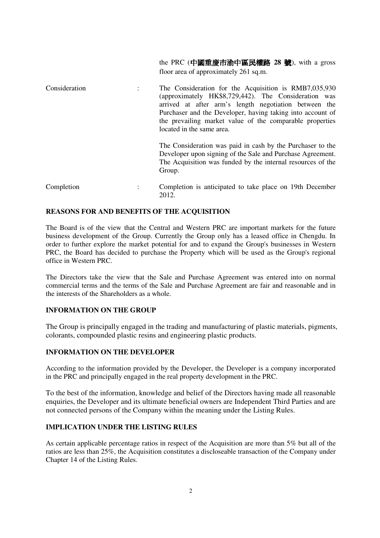the PRC (中國重慶市渝中區民權路 **28** 號), with a gross floor area of approximately 261 sq.m.

| Consideration | The Consideration for the Acquisition is RMB7,035,930<br>(approximately HK\$8,729,442). The Consideration was<br>arrived at after arm's length negotiation between the<br>Purchaser and the Developer, having taking into account of<br>the prevailing market value of the comparable properties<br>located in the same area. |
|---------------|-------------------------------------------------------------------------------------------------------------------------------------------------------------------------------------------------------------------------------------------------------------------------------------------------------------------------------|
|               | The Consideration was paid in cash by the Purchaser to the<br>Developer upon signing of the Sale and Purchase Agreement.<br>The Acquisition was funded by the internal resources of the<br>Group.                                                                                                                             |

Completion : Completion is anticipated to take place on 19th December 2012.

#### **REASONS FOR AND BENEFITS OF THE ACQUISITION**

The Board is of the view that the Central and Western PRC are important markets for the future business development of the Group. Currently the Group only has a leased office in Chengdu. In order to further explore the market potential for and to expand the Group's businesses in Western PRC, the Board has decided to purchase the Property which will be used as the Group's regional office in Western PRC.

The Directors take the view that the Sale and Purchase Agreement was entered into on normal commercial terms and the terms of the Sale and Purchase Agreement are fair and reasonable and in the interests of the Shareholders as a whole.

## **INFORMATION ON THE GROUP**

The Group is principally engaged in the trading and manufacturing of plastic materials, pigments, colorants, compounded plastic resins and engineering plastic products.

#### **INFORMATION ON THE DEVELOPER**

According to the information provided by the Developer, the Developer is a company incorporated in the PRC and principally engaged in the real property development in the PRC.

To the best of the information, knowledge and belief of the Directors having made all reasonable enquiries, the Developer and its ultimate beneficial owners are Independent Third Parties and are not connected persons of the Company within the meaning under the Listing Rules.

#### **IMPLICATION UNDER THE LISTING RULES**

As certain applicable percentage ratios in respect of the Acquisition are more than 5% but all of the ratios are less than 25%, the Acquisition constitutes a discloseable transaction of the Company under Chapter 14 of the Listing Rules.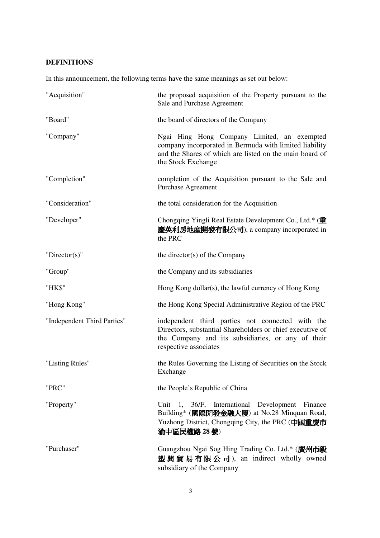# **DEFINITIONS**

In this announcement, the following terms have the same meanings as set out below:

| "Acquisition"               | the proposed acquisition of the Property pursuant to the<br>Sale and Purchase Agreement                                                                                                     |
|-----------------------------|---------------------------------------------------------------------------------------------------------------------------------------------------------------------------------------------|
| "Board"                     | the board of directors of the Company                                                                                                                                                       |
| "Company"                   | Ngai Hing Hong Company Limited, an exempted<br>company incorporated in Bermuda with limited liability<br>and the Shares of which are listed on the main board of<br>the Stock Exchange      |
| "Completion"                | completion of the Acquisition pursuant to the Sale and<br><b>Purchase Agreement</b>                                                                                                         |
| "Consideration"             | the total consideration for the Acquisition                                                                                                                                                 |
| "Developer"                 | Chongqing Yingli Real Estate Development Co., Ltd.* (重<br>慶英利房地産開發有限公司), a company incorporated in<br>the PRC                                                                               |
| " $Directory(s)$ "          | the director(s) of the Company                                                                                                                                                              |
| "Group"                     | the Company and its subsidiaries                                                                                                                                                            |
| "HK\$"                      | Hong Kong dollar(s), the lawful currency of Hong Kong                                                                                                                                       |
| "Hong Kong"                 | the Hong Kong Special Administrative Region of the PRC                                                                                                                                      |
| "Independent Third Parties" | independent third parties not connected with the<br>Directors, substantial Shareholders or chief executive of<br>the Company and its subsidiaries, or any of their<br>respective associates |
| "Listing Rules"             | the Rules Governing the Listing of Securities on the Stock<br>Exchange                                                                                                                      |
| "PRC"                       | the People's Republic of China                                                                                                                                                              |
| "Property"                  | Unit 1, 36/F, International Development Finance<br>Building* (國際開發金融大厦) at No.28 Minquan Road,<br>Yuzhong District, Chongqing City, the PRC (中國重慶市<br>渝中區民權路 28號)                           |
| "Purchaser"                 | Guangzhou Ngai Sog Hing Trading Co. Ltd.* (廣州市毅<br>塑興貿易有限公司), an indirect wholly owned<br>subsidiary of the Company                                                                         |